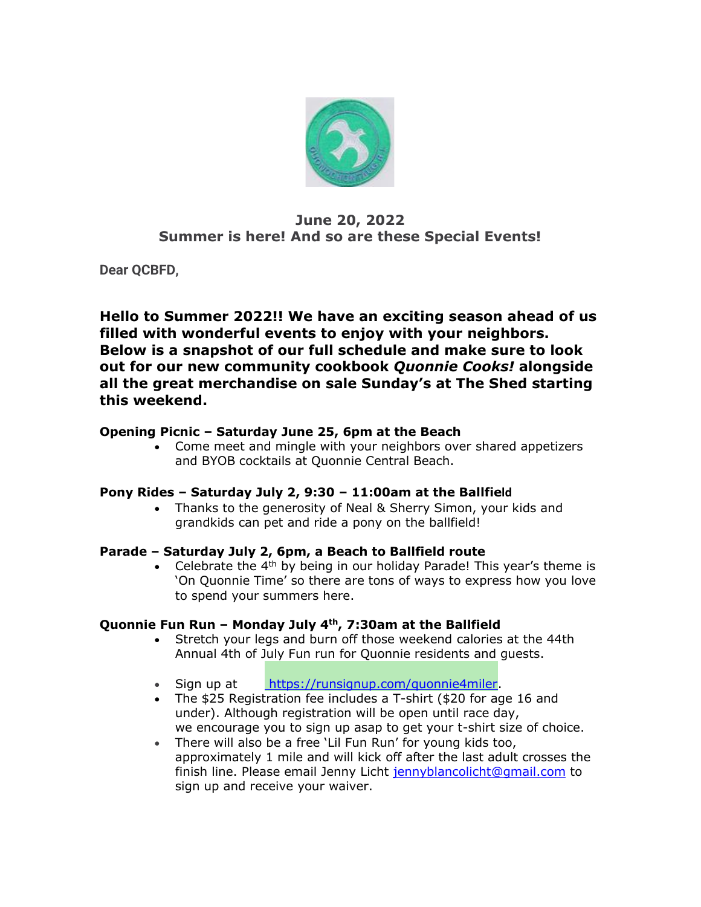

# **June 20, 2022 Summer is here! And so are these Special Events!**

**Dear QCBFD,**

**Hello to Summer 2022!! We have an exciting season ahead of us filled with wonderful events to enjoy with your neighbors. Below is a snapshot of our full schedule and make sure to look out for our new community cookbook** *Quonnie Cooks!* **alongside all the great merchandise on sale Sunday's at The Shed starting this weekend.**

## **Opening Picnic – Saturday June 25, 6pm at the Beach**

• Come meet and mingle with your neighbors over shared appetizers and BYOB cocktails at Quonnie Central Beach.

## **Pony Rides – Saturday July 2, 9:30 – 11:00am at the Ballfield**

• Thanks to the generosity of Neal & Sherry Simon, your kids and grandkids can pet and ride a pony on the ballfield!

## **Parade – Saturday July 2, 6pm, a Beach to Ballfield route**

• Celebrate the  $4<sup>th</sup>$  by being in our holiday Parade! This year's theme is 'On Quonnie Time' so there are tons of ways to express how you love to spend your summers here.

## **Quonnie Fun Run – Monday July 4th, 7:30am at the Ballfield**

- Stretch your legs and burn off those weekend calories at the 44th Annual 4th of July Fun run for Quonnie residents and guests.
- Sign up at [https://runsignup.com/quonnie4miler.](https://r20.rs6.net/tn.jsp?f=0011F9KGmKBB5Mc98vb1TqCb91l4jJiyg8Ikcgqvv8j-0lLXYiCBdM-oONjvxGNjk-JbkB6X3eSIo7miVEGfkutbANe9LMSq2vIf8-2wWyIJeFY4ZxMvGkvjcF24D-orM_nBYeEOJmlgY_2s5eee0Ie1mASvN9RjZbO&c=P7_bNxkyrZ0IcHqt00oclQUQhWr30Tk1EBVaBUzjbXxu7QJSXo8qcA==&ch=6TSez1d1Vptu_kq5Dd9P-YdjDSZfvevfPHKUeVQlsEtuaDBXGWz_ig==)
- The \$25 Registration fee includes a T-shirt (\$20 for age 16 and under). Although registration will be open until race day, we encourage you to sign up asap to get your t-shirt size of choice.
- There will also be a free 'Lil Fun Run' for young kids too, approximately 1 mile and will kick off after the last adult crosses the finish line. Please email Jenny Licht [jennyblancolicht@gmail.com](mailto:jennyblancolicht@gmail.com) to sign up and receive your waiver.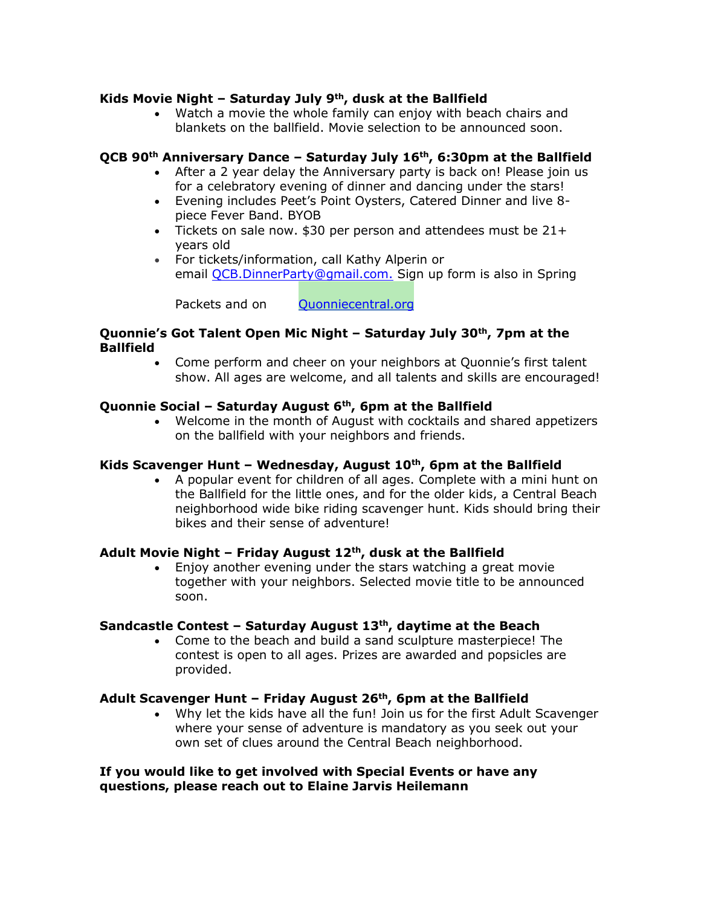### **Kids Movie Night – Saturday July 9th, dusk at the Ballfield**

• Watch a movie the whole family can enjoy with beach chairs and blankets on the ballfield. Movie selection to be announced soon.

### **QCB 90th Anniversary Dance – Saturday July 16th, 6:30pm at the Ballfield**

- After a 2 year delay the Anniversary party is back on! Please join us for a celebratory evening of dinner and dancing under the stars!
- Evening includes Peet's Point Oysters, Catered Dinner and live 8 piece Fever Band. BYOB
- Tickets on sale now. \$30 per person and attendees must be 21+ years old
- For tickets/information, call Kathy Alperin or email [QCB.DinnerParty@gmail.com.](mailto:QCB.DinnerParty@gmail.com) Sign up form is also in Spring

Packets and on [Quonniecentral.org](https://r20.rs6.net/tn.jsp?f=0011F9KGmKBB5Mc98vb1TqCb91l4jJiyg8Ikcgqvv8j-0lLXYiCBdM-oBqs3Ho9lrUYMgaAk1OWMycZ8ofLrtbxwv-PEjTYiF3aa15TDQoza_IKzOGfyTy-uNIysywwXC-p5GF_LHfhtml033z_2F1okw==&c=P7_bNxkyrZ0IcHqt00oclQUQhWr30Tk1EBVaBUzjbXxu7QJSXo8qcA==&ch=6TSez1d1Vptu_kq5Dd9P-YdjDSZfvevfPHKUeVQlsEtuaDBXGWz_ig==)

### **Quonnie's Got Talent Open Mic Night – Saturday July 30th, 7pm at the Ballfield**

• Come perform and cheer on your neighbors at Quonnie's first talent show. All ages are welcome, and all talents and skills are encouraged!

### **Quonnie Social – Saturday August 6th, 6pm at the Ballfield**

• Welcome in the month of August with cocktails and shared appetizers on the ballfield with your neighbors and friends.

### **Kids Scavenger Hunt – Wednesday, August 10th, 6pm at the Ballfield**

• A popular event for children of all ages. Complete with a mini hunt on the Ballfield for the little ones, and for the older kids, a Central Beach neighborhood wide bike riding scavenger hunt. Kids should bring their bikes and their sense of adventure!

### **Adult Movie Night – Friday August 12th, dusk at the Ballfield**

• Enjoy another evening under the stars watching a great movie together with your neighbors. Selected movie title to be announced soon.

#### **Sandcastle Contest – Saturday August 13th, daytime at the Beach**

• Come to the beach and build a sand sculpture masterpiece! The contest is open to all ages. Prizes are awarded and popsicles are provided.

#### **Adult Scavenger Hunt – Friday August 26th, 6pm at the Ballfield**

• Why let the kids have all the fun! Join us for the first Adult Scavenger where your sense of adventure is mandatory as you seek out your own set of clues around the Central Beach neighborhood.

**If you would like to get involved with Special Events or have any questions, please reach out to Elaine Jarvis Heilemann**